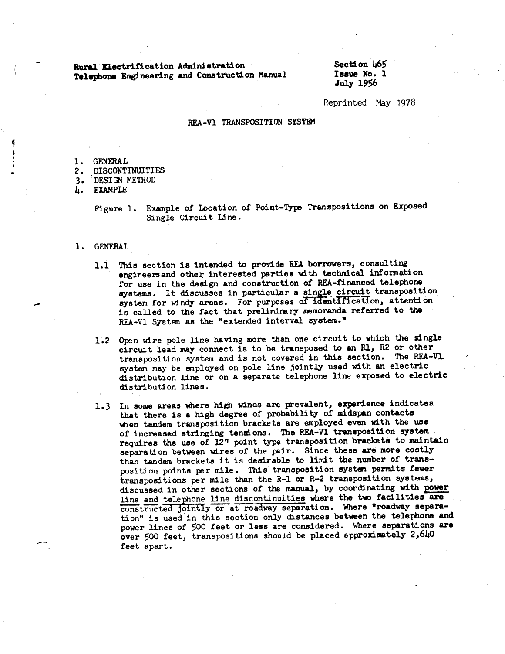Rural Electrification Administration Telephone Engineering and Construction Manual Section 465 Issue No. 1 July 1956

Reprinted May 1978

#### REA-VI TRANSPOSITION SYSTEM

- **GENERAL** 1.
- $2.$ **DISCONTINUITIES**
- 3. DESIGN METHOD

**EXAMPLE** Ъ.

> Example of Location of Point-Type Transpositions on Exposed Figure 1. Single Circuit Line.

- 1. GENERAL
	- 1.1 This section is intended to provide REA borrowers, consulting engineers and other interested parties with technical information for use in the design and construction of REA-financed telephone systems. It discusses in particular a single circuit transposition system for windy areas. For purposes of identification, attention is called to the fact that preliminary memoranda referred to the REA-Vl System as the "extended interval system."
	- 1.2 Open wire pole line having more than one circuit to which the single circuit lead may connect is to be transposed to an R1, R2 or other transposition system and is not covered in this section. The REA-VL system may be employed on pole line jointly used with an electric distribution line or on a separate telephone line exposed to electric distribution lines.
	- 1.3 In some areas where high winds are prevalent, experience indicates that there is a high degree of probability of midspan contacts when tandem transposition brackets are employed even with the use of increased stringing tensions. The REA-V1 transposition system requires the use of 12" point type transposition brackets to maintain separation between wires of the pair. Since these are more costly than tandem brackets it is desirable to limit the number of transposition points per mile. This transposition system permits fewer transpositions per mile than the R-1 or R-2 transposition systems, discussed in other sections of the manual, by coordinating with power line and telephone line discontinuities where the two facilities are constructed jointly or at roadway separation. Where "roadway separation" is used in this section only distances between the telephone and power lines of 500 feet or less are considered. Where separations are over 500 feet, transpositions should be placed approximately 2,640 feet apart.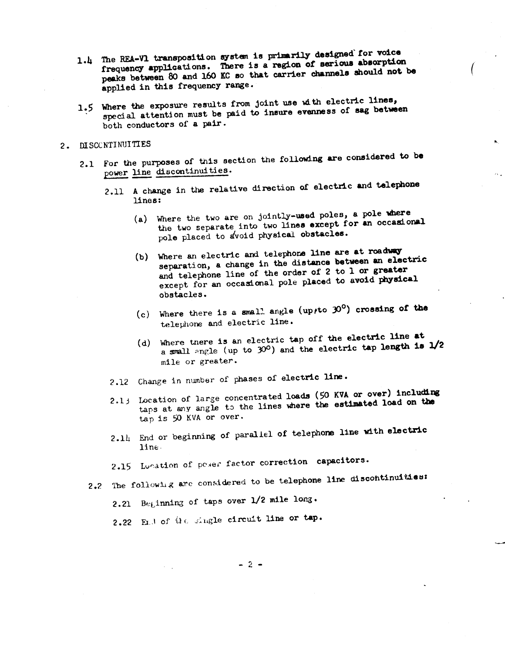- 1.4 The REA-V1 transposition system is primarily designed for voice frequency applications. There is a region of serious absorption peaks between 80 and 160 KC so that carrier channels should not be applied in this frequency range.
- 1.5 Where the exposure results from joint use with electric lines, special attention must be paid to insure evenness of sag between both conductors of a pair.

### 2. DISCONTINUITIES

- 2.1 For the purposes of this section the following are considered to be power line discontinuities.
	- 2.11 A change in the relative direction of electric and telephone lines:
		- (a) Where the two are on jointly-used poles, a pole where the two separate into two lines except for an occasional pole placed to avoid physical obstacles.

 $\alpha$  .

- (b) Where an electric and telephone line are at roadway separation, a change in the distance between an electric and telephone line of the order of 2 to 1 or greater except for an occasional pole placed to avoid physical obstacles.
- (c) Where there is a small angle (up, to  $30^{\circ}$ ) crossing of the telephone and electric line.
- (d) Where there is an electric tap off the electric line at a small angle (up to  $30^{\circ}$ ) and the electric tap length is  $1/2$ mile or greater.
- 2.12 Change in number of phases of electric line.
- 2.13 Location of large concentrated loads (50 KVA or over) including taps at any angle to the lines where the estimated load on the tap is 50 KVA or over.
- 2.14 End or beginning of parallel of telephone line with electric line.

2.15 Lonation of poser factor correction capacitors.

- 2.2 The following are considered to be telephone line discontinuities:
	- 2.21 Beginning of taps over 1/2 mile long.
	- 2.22 End of  $0 \in$  single circuit line or tap.

 $-2-$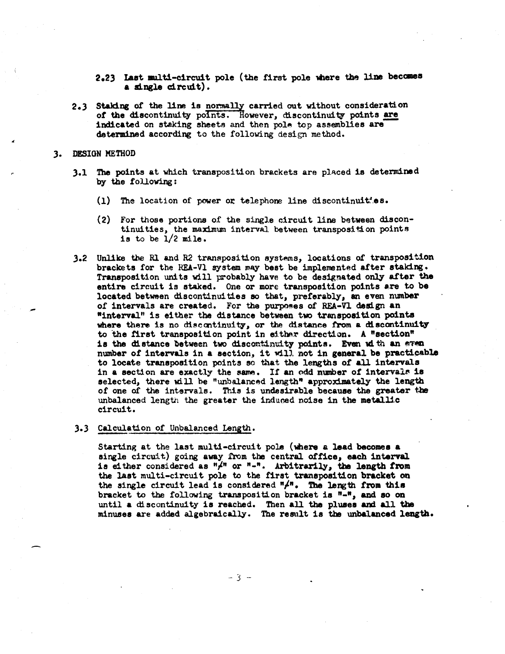- 2.23 Last multi-circuit pole (the first pole where the line becomes a single circuit).
- 2.3 Staking of the line is normally carried out without consideration of the discontinuity points. However, discontinuity points are indicated on staking sheets and then pole top assemblies are determined according to the following design method.

#### ). DESIGN METHOD

- 3.1 The points at which transposition brackets are placed is determined by the following:
	- $(1)$  The location of power or telephone line discontinuit.es.
	- (2) For those portions of the single c:ircuit line between discontinuities, the maximum interval between transposition points is to be 1/2 mile.
- 3.2 Unlike the R1 and R2 transposition systems, locations of transposition brackets for the REA-Vl system may best be implemented after staking • Transposition units will probably have to be designated only after the entire circuit is staked. One or more transposition points are to be located betwen discontinuities so that, preferably, an even number of intervals are created. For the purposes of REA-Vl design an •interval" is either ths distance between two transposition points where there is no discontinuity, or the distance from a discontinuity. to the first transposition point in either direction. A "section" is the distance between two discontinuity points. Even with an even number of intervals in a section, it will not in general be practicable to locate transposition points so that the lengths of all intervals in a section are exactly the same. If an odd number of intervals is selected, there will be "unbalanced length" approximately the length of one of the intervals. This is undesirable because the greater the unbalanced length the greater the induced noise in the metallic circuit.

#### ).) Calculation of Unbalanced Length.

Starting at the last multi-circuit pole (mere a lead becomes a single circuit) going away trom the central office, each interval is either considered as  $"\!/^n$  or  $"-"$ . Arbitrarily, the length from the last multi-circuit pole to the first transposition bracket on the single circuit lead is considered  $^n \nightharpoonup^n$ . The length from this bracket to the following transposition bracket ia "-", and so on until a discontinuity is reached. Then all the pluses and all the minuses are added algebraically. The result is the unbalanced length.

- 3 --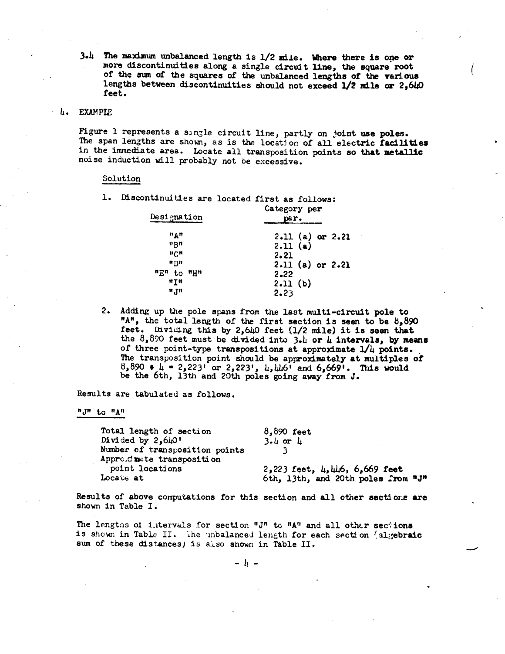$3.4$  The maximum unbalanced length is  $1/2$  mile. Where there is one or more discontinuities along a single circuit line, the square root *ot* the sum of the squares *ot* the unbalanced lengths of the varloua lengths between discontinuities should not exceed  $1/2$  mile or 2,640 feet.

#### L. EXAMPlE

Figure 1 represents a single circuit line, partly on joint use poles. The span lengths are shown, as is the location of all electric facilities in the immediate area. Locate all transposition points so that metallic noise induction will probably not oe excessive.

#### Solution

l. Discontinuities are located first as follows:

| Designation        | Category per<br>par. |  |  |  |
|--------------------|----------------------|--|--|--|
| $n_A n$            | $2.11$ (a) or $2.21$ |  |  |  |
| $n$ Bu             | 2.11(a)              |  |  |  |
| ոշո                | 2.21                 |  |  |  |
| <b>"</b> កា        | $2.11$ (a) or $2.21$ |  |  |  |
| <u>ጣይ</u> ቱ to ጣዘቱ | 2.22                 |  |  |  |
| 11 T II            | 2.11(b)              |  |  |  |
| n'In               | 2.23                 |  |  |  |

2. Adding up the pole spans from the last multi-circuit pole to "A", the total length of the first section is seen to be 8,890 feet. Dividing this by 2,640 feet (1/2 mile) it is seen that the 8,890 feet must be divided into 3.4 or 4 intervals, by means of three point-type transpositions at approximate  $1/u$  points. The transposition point should be approximately at multiples of  $8,890 \div 4 = 2,223'$  or  $2,223'$ ,  $\mu, \mu\mu6'$  and  $6,669'$ . This would be the 6th, 13th and 20th poles going away from J.

Results are tabulated as follows.

*"J"* to "A"

| Total length of section        | $8,890$ feet                                 |
|--------------------------------|----------------------------------------------|
| Divided by $2,640$ '           | $3.4$ or $4$                                 |
| Number of transposition points |                                              |
| Approducte transposition       |                                              |
| point locations                | $2,223$ feet, $\mu$ , $\mu\mu$ 6, 6,669 feet |
| Locate at                      | 6th, 13th, and 20th poles from "J"           |

Results of above computations for this section and all other sections are shown in Table I.

The lengths of intervals for section "J" to "A" and all other sections is shown in Table II. The unbalanced length for each section (algebraic sum of these distances) is also shown in Table II.

 $\lambda$   $-$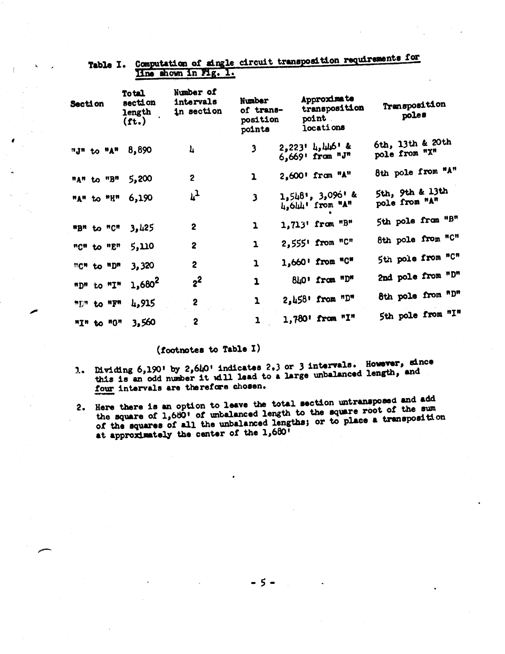| Section           |  | <b>Total</b><br>section<br>length<br>(ft.) | Number of<br>intervals<br>in section | <b>Number</b><br>of trans-<br>position<br>points | Approximate<br>transposition<br>point.<br>locations | Transposition<br>poles            |  |
|-------------------|--|--------------------------------------------|--------------------------------------|--------------------------------------------------|-----------------------------------------------------|-----------------------------------|--|
| "J" to "A"        |  | 8,890                                      | 4                                    | 3                                                | 2,223' 4,446' &<br>6,669' from "J"                  | 6th, 13th & 20th<br>pole from "X" |  |
| "A" to "B"        |  | 5,200                                      | $\overline{c}$                       | ı                                                | 2,600' from "A"                                     | 8th pole from "A"                 |  |
| "A" to "H"        |  | 6,190                                      | $\mathfrak{r}_{\mathcal{T}}$         | $\overline{\mathbf{3}}$                          | 1,548', 3,096' &<br>4,644' from "A"                 | 5th, 9th & 13th<br>pole from "A"  |  |
| "B" to "C"        |  | 3,425                                      | $\overline{c}$                       | $\mathbf{I}$                                     | 1,713' from "B"                                     | 5th pole from "B"                 |  |
| "C" to "E"        |  | 5,110                                      | $\overline{2}$                       | $\mathbf{I}$                                     | 2,555' from "C"                                     | 8th pole from "C"                 |  |
| <b>MGM</b> to "D" |  | 3,320                                      | $\overline{\mathbf{c}}$              | $\mathbf{1}$                                     | 1,660' from "C"                                     | 5th pole from "C"                 |  |
| "D" to "I"        |  | 1,680 <sup>2</sup>                         | $2^2$                                | $\mathbf{I}$                                     | 840' from "D"                                       | 2nd pole from "D"                 |  |
| "D" to "F"        |  | 4,915                                      | 2                                    |                                                  | 2,458' from "D"                                     | 8th pole from "D"                 |  |
| <b>MIM to MOM</b> |  | 3,560                                      | $\mathbf{2}$                         |                                                  | 1,780' from "I"                                     | 5th pole from "I"                 |  |

# Table I. Computation of single circuit transposition requirements for Hne shown in Mg. 1.

## (footnotes to Table I)

- 1. Dividing 6,190' by 2,640' indicates 2.3 or 3 intervals. However, since this is an odd number it will lead to a large unbalanced length, and four intervals are therefore chosen.
- 2. Here there is an option to leave the total section untransposed and add the square of 1,680' of unbalanced length to the square root of the sum of the squares of all the unbalanced lengths; or to place a transposition at approximately the center of the 1,680'

-5-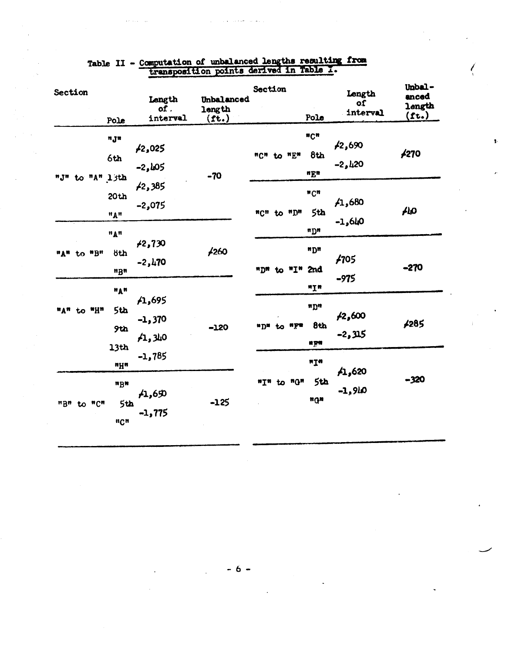| Section |  |             | Pole                                                 | Length<br>of.<br>interval     | Unbalanced<br>length<br>$(f_t.)$ | Section                               | Pole                                    | Length<br>of<br>interval  | Unbal-<br>anced<br>length<br>(ft.) |
|---------|--|-------------|------------------------------------------------------|-------------------------------|----------------------------------|---------------------------------------|-----------------------------------------|---------------------------|------------------------------------|
|         |  |             | n Jn<br>6th<br>"J" to "A" ljth                       | <b>£2,025</b><br>$-2,105$     | $-70$                            | "C" to "E"                            | ncn<br>8th<br>uEu                       | <b>f2,690</b><br>$-2,420$ | <b>£270</b>                        |
|         |  | 20th<br>"A" | 42,385<br>$-2,075$                                   |                               | "C" to "D"                       | $^{\text{w}}$ Cn<br>5th<br><b>uDu</b> | /1,680<br>$-1,640$                      | ALO                       |                                    |
| иди     |  | to "B"      | "A"<br><b>8th</b><br>ngn                             | <b>/2,730</b><br>$-2,470$     | <b>£260</b>                      | $^*I''$<br>"D"<br>to                  | "D<br>2nd                               | 1705<br>$-975$            | $-270$                             |
|         |  | "A" to "H"  | "A"<br>5th<br>9th<br>13th                            | 1,695<br>$-1,370$<br>41,340   | $-120$                           | nym<br>$n_{D}$<br>to                  | <b>nyn</b><br><b>nDu</b><br>8th<br>n yn | ,2,600<br>-2,315          | 4285                               |
| "B" to  |  | "C"         | nyn<br><b>nBu</b><br>5th<br>$\mathbf{u_C}\mathbf{u}$ | $-1,785$<br>/1,60<br>$-1,775$ | $-125$                           | to "G"<br>mŢN                         | nŢM<br>5th<br>ngn                       | A1,620<br>$-1,910$        | $-320$                             |

 $\pmb{\ddot{r}}$ 

Table II - Computation of unbalanced lengths resulting from<br>transposition points derived in Table 1.

 $\hat{p}_{\rm{max}}$  $\sim$ 

- 6 -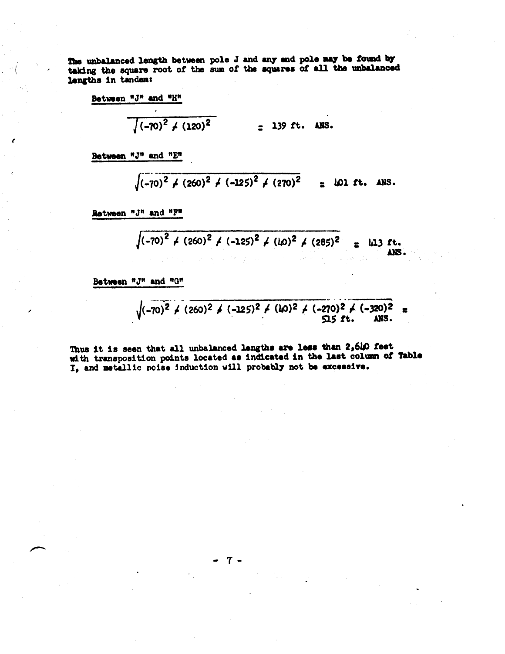The unbalanced length between pole J and any end pole may be found by taking the square root of the sum of the squares of all the unbalanced lengths in tandem:

 $\cdot$ 

$$
\sqrt{(-70)^2 + (120)^2} = 139 \text{ ft. ANS.}
$$

Between "J" and "E"

$$
\sqrt{(-70)^2 + (260)^2 + (-125)^2 + (270)^2} = 101 \text{ ft. ANS.}
$$

Retween "J" and "F"

$$
\sqrt{(-70)^2 + (260)^2 + (-125)^2 + (40)^2 + (285)^2} = 413
$$
 ft.

Between "J" and "G"

$$
\sqrt{(-70)^2 \div (260)^2 \div (-125)^2 \div (40)^2 \div (-270)^2 \div (-320)^2}
$$

Thus it is seen that all unbalanced lengths are less than 2,610 feet with transposition points located as indicated in the last column of Table I, and metallic noise induction will probably not be excessive.